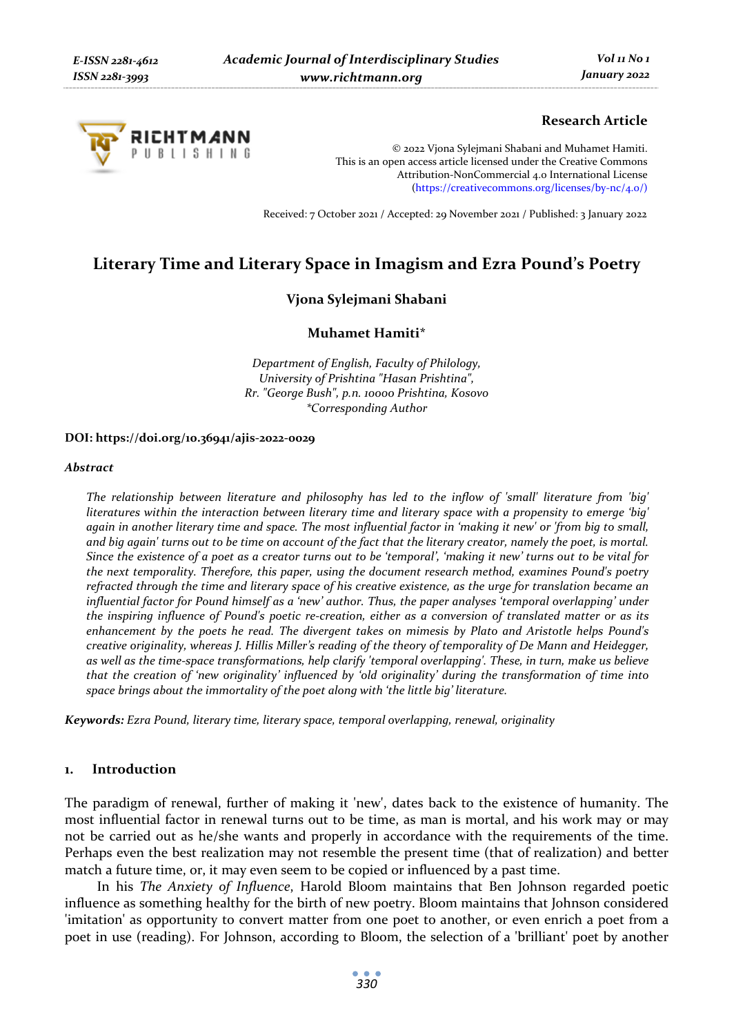

# **Research Article**

© 2022 Vjona Sylejmani Shabani and Muhamet Hamiti. This is an open access article licensed under the Creative Commons Attribution-NonCommercial 4.0 International License (https://creativecommons.org/licenses/by-nc/4.0/)

Received: 7 October 2021 / Accepted: 29 November 2021 / Published: 3 January 2022

# **Literary Time and Literary Space in Imagism and Ezra Pound's Poetry**

# **Vjona Sylejmani Shabani**

## **Muhamet Hamiti\***

*Department of English, Faculty of Philology, University of Prishtina "Hasan Prishtina", Rr. "George Bush", p.n. 10000 Prishtina, Kosovo \*Corresponding Author* 

#### **DOI: https://doi.org/10.36941/ajis-2022-0029**

#### *Abstract*

*The relationship between literature and philosophy has led to the inflow of 'small' literature from 'big' literatures within the interaction between literary time and literary space with a propensity to emerge 'big' again in another literary time and space. The most influential factor in 'making it new' or 'from big to small, and big again' turns out to be time on account of the fact that the literary creator, namely the poet, is mortal. Since the existence of a poet as a creator turns out to be 'temporal', 'making it new' turns out to be vital for the next temporality. Therefore, this paper, using the document research method, examines Pound's poetry refracted through the time and literary space of his creative existence, as the urge for translation became an influential factor for Pound himself as a 'new' author. Thus, the paper analyses 'temporal overlapping' under the inspiring influence of Pound's poetic re-creation, either as a conversion of translated matter or as its enhancement by the poets he read. The divergent takes on mimesis by Plato and Aristotle helps Pound's creative originality, whereas J. Hillis Miller's reading of the theory of temporality of De Mann and Heidegger, as well as the time-space transformations, help clarify 'temporal overlapping'. These, in turn, make us believe that the creation of 'new originality' influenced by 'old originality' during the transformation of time into space brings about the immortality of the poet along with 'the little big' literature.* 

*Keywords: Ezra Pound, literary time, literary space, temporal overlapping, renewal, originality* 

# **1. Introduction**

The paradigm of renewal, further of making it 'new', dates back to the existence of humanity. The most influential factor in renewal turns out to be time, as man is mortal, and his work may or may not be carried out as he/she wants and properly in accordance with the requirements of the time. Perhaps even the best realization may not resemble the present time (that of realization) and better match a future time, or, it may even seem to be copied or influenced by a past time.

In his *The Anxiety of Influence*, Harold Bloom maintains that Ben Johnson regarded poetic influence as something healthy for the birth of new poetry. Bloom maintains that Johnson considered 'imitation' as opportunity to convert matter from one poet to another, or even enrich a poet from a poet in use (reading). For Johnson, according to Bloom, the selection of a 'brilliant' poet by another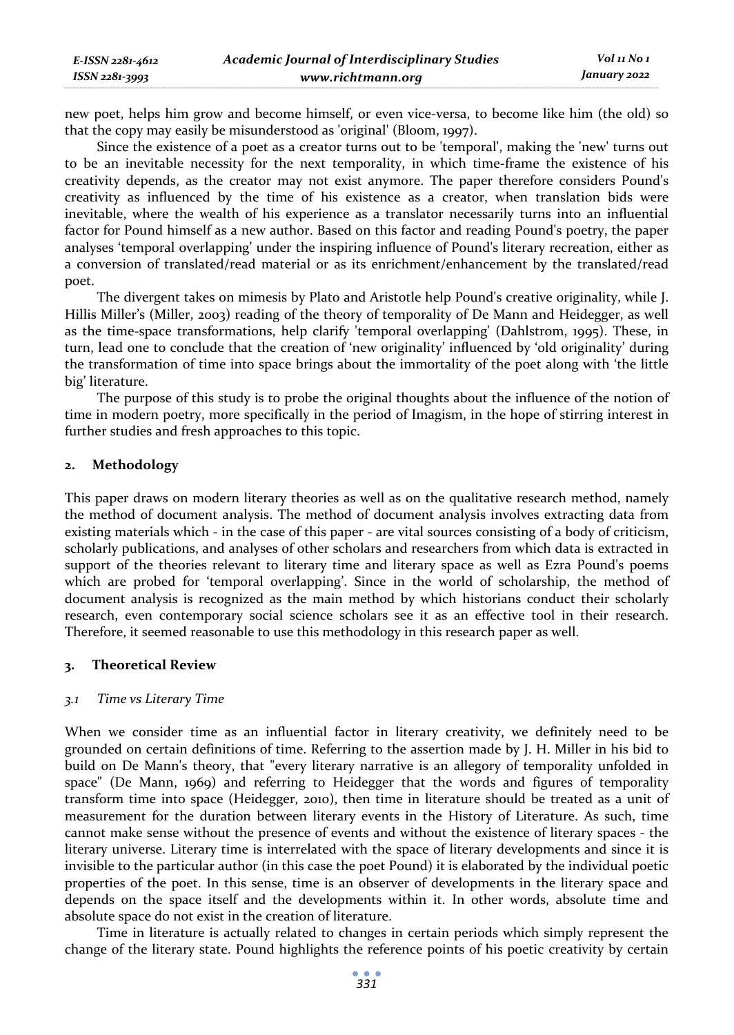new poet, helps him grow and become himself, or even vice-versa, to become like him (the old) so that the copy may easily be misunderstood as 'original' (Bloom, 1997).

Since the existence of a poet as a creator turns out to be 'temporal', making the 'new' turns out to be an inevitable necessity for the next temporality, in which time-frame the existence of his creativity depends, as the creator may not exist anymore. The paper therefore considers Pound's creativity as influenced by the time of his existence as a creator, when translation bids were inevitable, where the wealth of his experience as a translator necessarily turns into an influential factor for Pound himself as a new author. Based on this factor and reading Pound's poetry, the paper analyses 'temporal overlapping' under the inspiring influence of Pound's literary recreation, either as a conversion of translated/read material or as its enrichment/enhancement by the translated/read poet.

The divergent takes on mimesis by Plato and Aristotle help Pound's creative originality, while J. Hillis Miller's (Miller, 2003) reading of the theory of temporality of De Mann and Heidegger, as well as the time-space transformations, help clarify 'temporal overlapping' (Dahlstrom, 1995). These, in turn, lead one to conclude that the creation of 'new originality' influenced by 'old originality' during the transformation of time into space brings about the immortality of the poet along with 'the little big' literature.

The purpose of this study is to probe the original thoughts about the influence of the notion of time in modern poetry, more specifically in the period of Imagism, in the hope of stirring interest in further studies and fresh approaches to this topic.

# **2. Methodology**

This paper draws on modern literary theories as well as on the qualitative research method, namely the method of document analysis. The method of document analysis involves extracting data from existing materials which - in the case of this paper - are vital sources consisting of a body of criticism, scholarly publications, and analyses of other scholars and researchers from which data is extracted in support of the theories relevant to literary time and literary space as well as Ezra Pound's poems which are probed for 'temporal overlapping'. Since in the world of scholarship, the method of document analysis is recognized as the main method by which historians conduct their scholarly research, even contemporary social science scholars see it as an effective tool in their research. Therefore, it seemed reasonable to use this methodology in this research paper as well.

## **3. Theoretical Review**

## *3.1 Time vs Literary Time*

When we consider time as an influential factor in literary creativity, we definitely need to be grounded on certain definitions of time. Referring to the assertion made by J. H. Miller in his bid to build on De Mann's theory, that "every literary narrative is an allegory of temporality unfolded in space" (De Mann, 1969) and referring to Heidegger that the words and figures of temporality transform time into space (Heidegger, 2010), then time in literature should be treated as a unit of measurement for the duration between literary events in the History of Literature. As such, time cannot make sense without the presence of events and without the existence of literary spaces - the literary universe. Literary time is interrelated with the space of literary developments and since it is invisible to the particular author (in this case the poet Pound) it is elaborated by the individual poetic properties of the poet. In this sense, time is an observer of developments in the literary space and depends on the space itself and the developments within it. In other words, absolute time and absolute space do not exist in the creation of literature.

Time in literature is actually related to changes in certain periods which simply represent the change of the literary state. Pound highlights the reference points of his poetic creativity by certain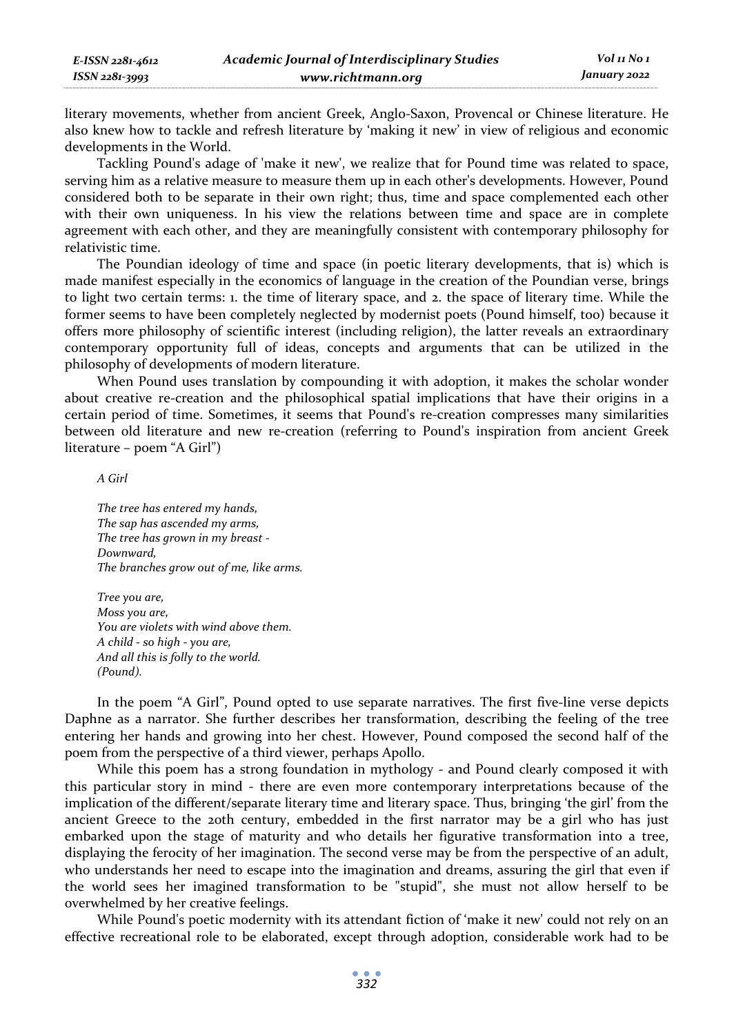literary movements, whether from ancient Greek, Anglo-Saxon, Provencal or Chinese literature. He also knew how to tackle and refresh literature by 'making it new' in view of religious and economic developments in the World.

Tackling Pound's adage of 'make it new', we realize that for Pound time was related to space, serving him as a relative measure to measure them up in each other's developments. However, Pound considered both to be separate in their own right; thus, time and space complemented each other with their own uniqueness. In his view the relations between time and space are in complete agreement with each other, and they are meaningfully consistent with contemporary philosophy for relativistic time.

The Poundian ideology of time and space (in poetic literary developments, that is) which is made manifest especially in the economics of language in the creation of the Poundian verse, brings to light two certain terms: 1. the time of literary space, and 2. the space of literary time. While the former seems to have been completely neglected by modernist poets (Pound himself, too) because it offers more philosophy of scientific interest (including religion), the latter reveals an extraordinary contemporary opportunity full of ideas, concepts and arguments that can be utilized in the philosophy of developments of modern literature.

When Pound uses translation by compounding it with adoption, it makes the scholar wonder about creative re-creation and the philosophical spatial implications that have their origins in a certain period of time. Sometimes, it seems that Pound's re-creation compresses many similarities between old literature and new re-creation (referring to Pound's inspiration from ancient Greek literature – poem "A Girl")

*A Girl* 

*The tree has entered my hands, The sap has ascended my arms, The tree has grown in my breast - Downward, The branches grow out of me, like arms.* 

*Tree you are, Moss you are, You are violets with wind above them. A child - so high - you are, And all this is folly to the world. (Pound).* 

In the poem "A Girl", Pound opted to use separate narratives. The first five-line verse depicts Daphne as a narrator. She further describes her transformation, describing the feeling of the tree entering her hands and growing into her chest. However, Pound composed the second half of the poem from the perspective of a third viewer, perhaps Apollo.

While this poem has a strong foundation in mythology - and Pound clearly composed it with this particular story in mind - there are even more contemporary interpretations because of the implication of the different/separate literary time and literary space. Thus, bringing 'the girl' from the ancient Greece to the 20th century, embedded in the first narrator may be a girl who has just embarked upon the stage of maturity and who details her figurative transformation into a tree, displaying the ferocity of her imagination. The second verse may be from the perspective of an adult, who understands her need to escape into the imagination and dreams, assuring the girl that even if the world sees her imagined transformation to be "stupid", she must not allow herself to be overwhelmed by her creative feelings.

While Pound's poetic modernity with its attendant fiction of 'make it new' could not rely on an effective recreational role to be elaborated, except through adoption, considerable work had to be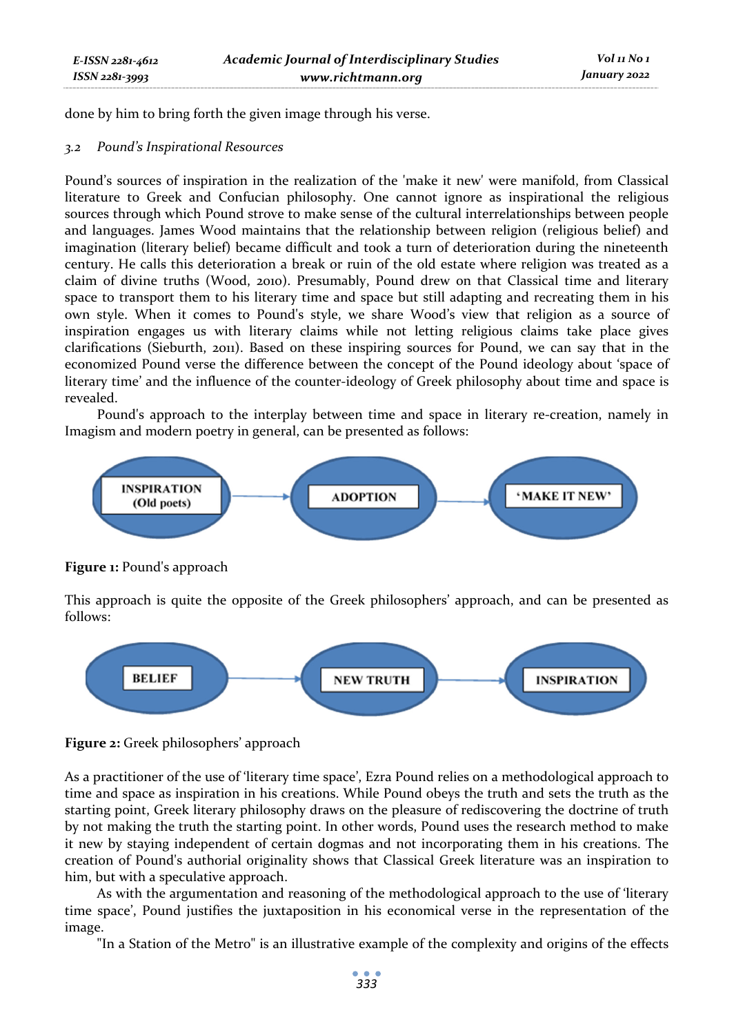done by him to bring forth the given image through his verse.

## *3.2 Pound's Inspirational Resources*

Pound's sources of inspiration in the realization of the 'make it new' were manifold, from Classical literature to Greek and Confucian philosophy. One cannot ignore as inspirational the religious sources through which Pound strove to make sense of the cultural interrelationships between people and languages. James Wood maintains that the relationship between religion (religious belief) and imagination (literary belief) became difficult and took a turn of deterioration during the nineteenth century. He calls this deterioration a break or ruin of the old estate where religion was treated as a claim of divine truths (Wood, 2010). Presumably, Pound drew on that Classical time and literary space to transport them to his literary time and space but still adapting and recreating them in his own style. When it comes to Pound's style, we share Wood's view that religion as a source of inspiration engages us with literary claims while not letting religious claims take place gives clarifications (Sieburth, 2011). Based on these inspiring sources for Pound, we can say that in the economized Pound verse the difference between the concept of the Pound ideology about 'space of literary time' and the influence of the counter-ideology of Greek philosophy about time and space is revealed.

Pound's approach to the interplay between time and space in literary re-creation, namely in Imagism and modern poetry in general, can be presented as follows:



# **Figure 1:** Pound's approach

This approach is quite the opposite of the Greek philosophers' approach, and can be presented as follows:





As a practitioner of the use of 'literary time space', Ezra Pound relies on a methodological approach to time and space as inspiration in his creations. While Pound obeys the truth and sets the truth as the starting point, Greek literary philosophy draws on the pleasure of rediscovering the doctrine of truth by not making the truth the starting point. In other words, Pound uses the research method to make it new by staying independent of certain dogmas and not incorporating them in his creations. The creation of Pound's authorial originality shows that Classical Greek literature was an inspiration to him, but with a speculative approach.

As with the argumentation and reasoning of the methodological approach to the use of 'literary time space', Pound justifies the juxtaposition in his economical verse in the representation of the image.

"In a Station of the Metro" is an illustrative example of the complexity and origins of the effects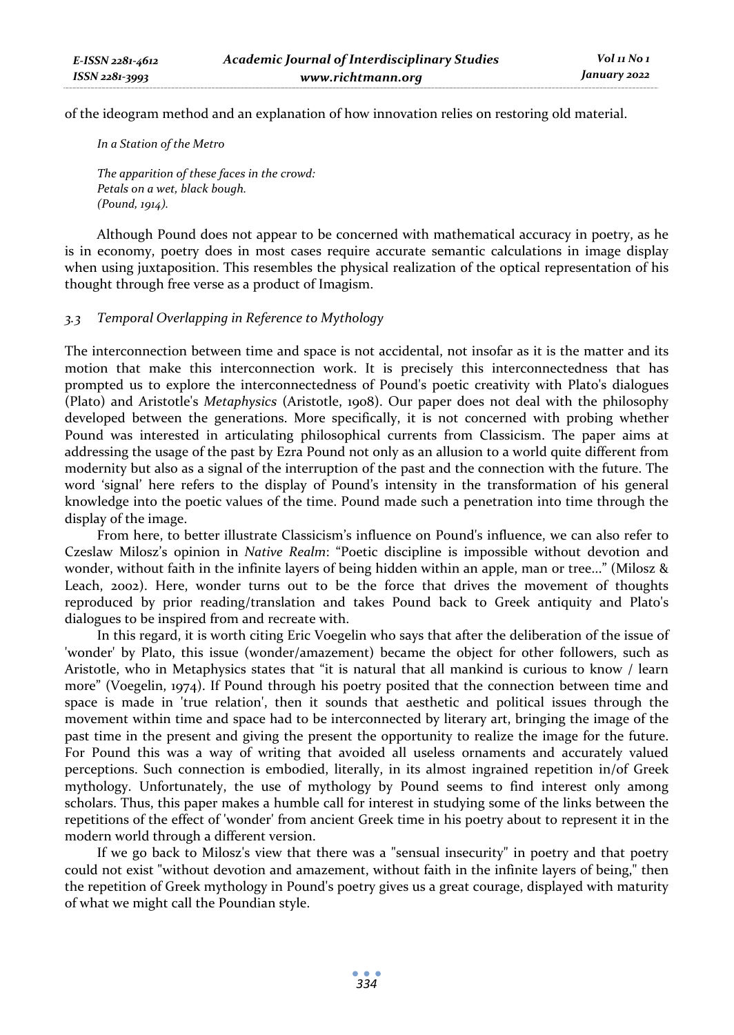of the ideogram method and an explanation of how innovation relies on restoring old material.

*In a Station of the Metro* 

*The apparition of these faces in the crowd: Petals on a wet, black bough. (Pound, 1914).* 

Although Pound does not appear to be concerned with mathematical accuracy in poetry, as he is in economy, poetry does in most cases require accurate semantic calculations in image display when using juxtaposition. This resembles the physical realization of the optical representation of his thought through free verse as a product of Imagism.

# *3.3 Temporal Overlapping in Reference to Mythology*

The interconnection between time and space is not accidental, not insofar as it is the matter and its motion that make this interconnection work. It is precisely this interconnectedness that has prompted us to explore the interconnectedness of Pound's poetic creativity with Plato's dialogues (Plato) and Aristotle's *Metaphysics* (Aristotle, 1908). Our paper does not deal with the philosophy developed between the generations. More specifically, it is not concerned with probing whether Pound was interested in articulating philosophical currents from Classicism. The paper aims at addressing the usage of the past by Ezra Pound not only as an allusion to a world quite different from modernity but also as a signal of the interruption of the past and the connection with the future. The word 'signal' here refers to the display of Pound's intensity in the transformation of his general knowledge into the poetic values of the time. Pound made such a penetration into time through the display of the image.

From here, to better illustrate Classicism's influence on Pound's influence, we can also refer to Czeslaw Milosz's opinion in *Native Realm*: "Poetic discipline is impossible without devotion and wonder, without faith in the infinite layers of being hidden within an apple, man or tree..." (Milosz & Leach, 2002). Here, wonder turns out to be the force that drives the movement of thoughts reproduced by prior reading/translation and takes Pound back to Greek antiquity and Plato's dialogues to be inspired from and recreate with.

In this regard, it is worth citing Eric Voegelin who says that after the deliberation of the issue of 'wonder' by Plato, this issue (wonder/amazement) became the object for other followers, such as Aristotle, who in Metaphysics states that "it is natural that all mankind is curious to know / learn more" (Voegelin, 1974). If Pound through his poetry posited that the connection between time and space is made in 'true relation', then it sounds that aesthetic and political issues through the movement within time and space had to be interconnected by literary art, bringing the image of the past time in the present and giving the present the opportunity to realize the image for the future. For Pound this was a way of writing that avoided all useless ornaments and accurately valued perceptions. Such connection is embodied, literally, in its almost ingrained repetition in/of Greek mythology. Unfortunately, the use of mythology by Pound seems to find interest only among scholars. Thus, this paper makes a humble call for interest in studying some of the links between the repetitions of the effect of 'wonder' from ancient Greek time in his poetry about to represent it in the modern world through a different version.

If we go back to Milosz's view that there was a "sensual insecurity" in poetry and that poetry could not exist "without devotion and amazement, without faith in the infinite layers of being," then the repetition of Greek mythology in Pound's poetry gives us a great courage, displayed with maturity of what we might call the Poundian style.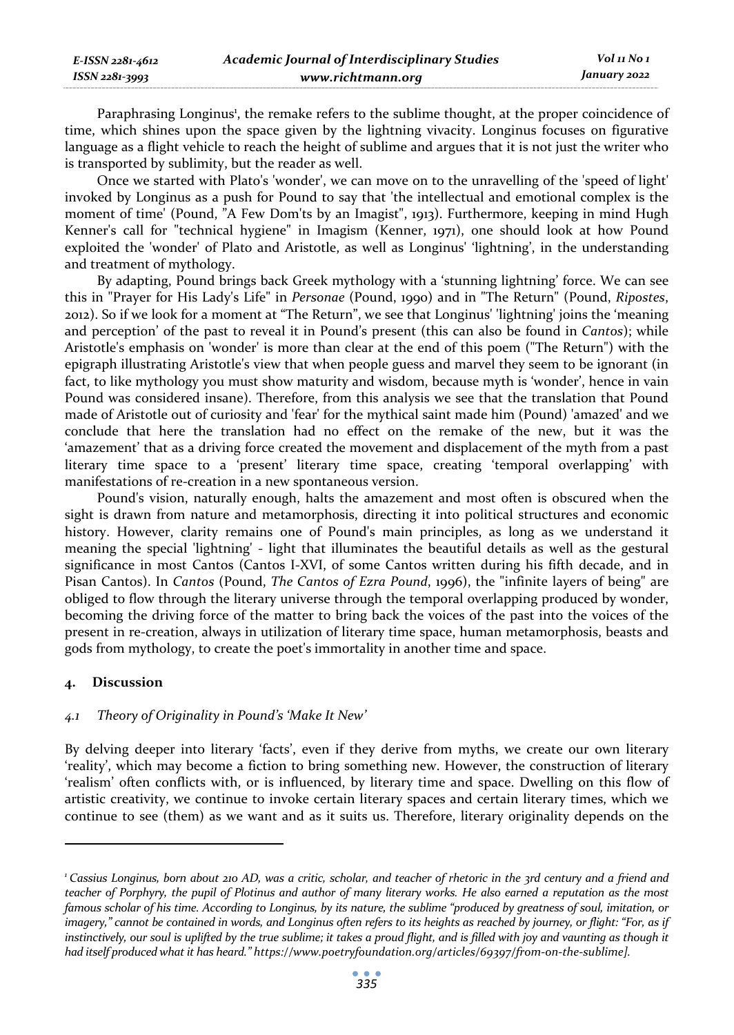| E-ISSN 2281-4612   | <b>Academic Journal of Interdisciplinary Studies</b> | Vol 11 No 1  |
|--------------------|------------------------------------------------------|--------------|
| $ISSN 2281 - 3993$ | www.richtmann.org                                    | January 2022 |

Paraphrasing Longinus<sup>1</sup>, the remake refers to the sublime thought, at the proper coincidence of time, which shines upon the space given by the lightning vivacity. Longinus focuses on figurative language as a flight vehicle to reach the height of sublime and argues that it is not just the writer who is transported by sublimity, but the reader as well.

Once we started with Plato's 'wonder', we can move on to the unravelling of the 'speed of light' invoked by Longinus as a push for Pound to say that 'the intellectual and emotional complex is the moment of time' (Pound, "A Few Dom'ts by an Imagist", 1913). Furthermore, keeping in mind Hugh Kenner's call for "technical hygiene" in Imagism (Kenner, 1971), one should look at how Pound exploited the 'wonder' of Plato and Aristotle, as well as Longinus' 'lightning', in the understanding and treatment of mythology.

By adapting, Pound brings back Greek mythology with a 'stunning lightning' force. We can see this in "Prayer for His Lady's Life" in *Personae* (Pound, 1990) and in "The Return" (Pound, *Ripostes*, 2012). So if we look for a moment at "The Return", we see that Longinus' 'lightning' joins the 'meaning and perception' of the past to reveal it in Pound's present (this can also be found in *Cantos*); while Aristotle's emphasis on 'wonder' is more than clear at the end of this poem ("The Return") with the epigraph illustrating Aristotle's view that when people guess and marvel they seem to be ignorant (in fact, to like mythology you must show maturity and wisdom, because myth is 'wonder', hence in vain Pound was considered insane). Therefore, from this analysis we see that the translation that Pound made of Aristotle out of curiosity and 'fear' for the mythical saint made him (Pound) 'amazed' and we conclude that here the translation had no effect on the remake of the new, but it was the 'amazement' that as a driving force created the movement and displacement of the myth from a past literary time space to a 'present' literary time space, creating 'temporal overlapping' with manifestations of re-creation in a new spontaneous version.

Pound's vision, naturally enough, halts the amazement and most often is obscured when the sight is drawn from nature and metamorphosis, directing it into political structures and economic history. However, clarity remains one of Pound's main principles, as long as we understand it meaning the special 'lightning' - light that illuminates the beautiful details as well as the gestural significance in most Cantos (Cantos I-XVI, of some Cantos written during his fifth decade, and in Pisan Cantos). In *Cantos* (Pound, *The Cantos of Ezra Pound*, 1996), the "infinite layers of being" are obliged to flow through the literary universe through the temporal overlapping produced by wonder, becoming the driving force of the matter to bring back the voices of the past into the voices of the present in re-creation, always in utilization of literary time space, human metamorphosis, beasts and gods from mythology, to create the poet's immortality in another time and space.

## **4. Discussion**

## *4.1 Theory of Originality in Pound's 'Make It New'*

By delving deeper into literary 'facts', even if they derive from myths, we create our own literary 'reality', which may become a fiction to bring something new. However, the construction of literary 'realism' often conflicts with, or is influenced, by literary time and space. Dwelling on this flow of artistic creativity, we continue to invoke certain literary spaces and certain literary times, which we continue to see (them) as we want and as it suits us. Therefore, literary originality depends on the

*<sup>1</sup> Cassius Longinus, born about 210 AD, was a critic, scholar, and teacher of rhetoric in the 3rd century and a friend and teacher of Porphyry, the pupil of Plotinus and author of many literary works. He also earned a reputation as the most famous scholar of his time. According to Longinus, by its nature, the sublime "produced by greatness of soul, imitation, or imagery," cannot be contained in words, and Longinus often refers to its heights as reached by journey, or flight: "For, as if*  instinctively, our soul is uplifted by the true sublime; it takes a proud flight, and is filled with joy and vaunting as though it *had itself produced what it has heard." https://www.poetryfoundation.org/articles/69397/from-on-the-sublime].*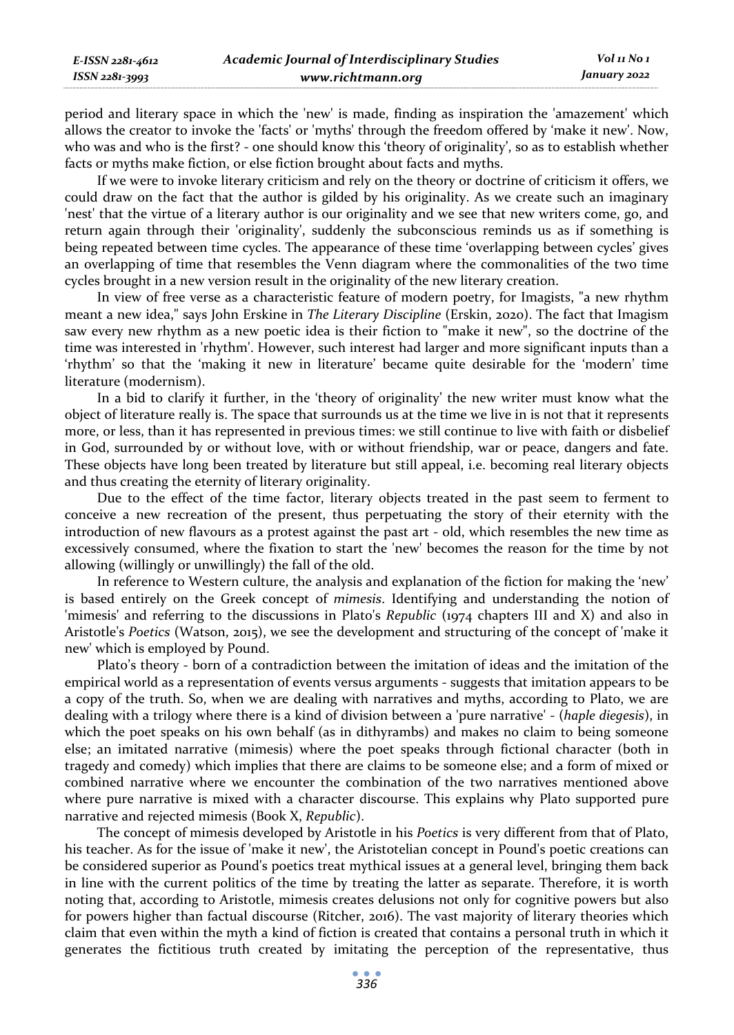period and literary space in which the 'new' is made, finding as inspiration the 'amazement' which allows the creator to invoke the 'facts' or 'myths' through the freedom offered by 'make it new'. Now, who was and who is the first? - one should know this 'theory of originality', so as to establish whether facts or myths make fiction, or else fiction brought about facts and myths.

If we were to invoke literary criticism and rely on the theory or doctrine of criticism it offers, we could draw on the fact that the author is gilded by his originality. As we create such an imaginary 'nest' that the virtue of a literary author is our originality and we see that new writers come, go, and return again through their 'originality', suddenly the subconscious reminds us as if something is being repeated between time cycles. The appearance of these time 'overlapping between cycles' gives an overlapping of time that resembles the Venn diagram where the commonalities of the two time cycles brought in a new version result in the originality of the new literary creation.

In view of free verse as a characteristic feature of modern poetry, for Imagists, "a new rhythm meant a new idea," says John Erskine in *The Literary Discipline* (Erskin, 2020). The fact that Imagism saw every new rhythm as a new poetic idea is their fiction to "make it new", so the doctrine of the time was interested in 'rhythm'. However, such interest had larger and more significant inputs than a 'rhythm' so that the 'making it new in literature' became quite desirable for the 'modern' time literature (modernism).

In a bid to clarify it further, in the 'theory of originality' the new writer must know what the object of literature really is. The space that surrounds us at the time we live in is not that it represents more, or less, than it has represented in previous times: we still continue to live with faith or disbelief in God, surrounded by or without love, with or without friendship, war or peace, dangers and fate. These objects have long been treated by literature but still appeal, i.e. becoming real literary objects and thus creating the eternity of literary originality.

Due to the effect of the time factor, literary objects treated in the past seem to ferment to conceive a new recreation of the present, thus perpetuating the story of their eternity with the introduction of new flavours as a protest against the past art - old, which resembles the new time as excessively consumed, where the fixation to start the 'new' becomes the reason for the time by not allowing (willingly or unwillingly) the fall of the old.

In reference to Western culture, the analysis and explanation of the fiction for making the 'new' is based entirely on the Greek concept of *mimesis*. Identifying and understanding the notion of 'mimesis' and referring to the discussions in Plato's *Republic* (1974 chapters III and X) and also in Aristotle's *Poetics* (Watson, 2015), we see the development and structuring of the concept of 'make it new' which is employed by Pound.

Plato's theory - born of a contradiction between the imitation of ideas and the imitation of the empirical world as a representation of events versus arguments - suggests that imitation appears to be a copy of the truth. So, when we are dealing with narratives and myths, according to Plato, we are dealing with a trilogy where there is a kind of division between a 'pure narrative' - (*haple diegesis*), in which the poet speaks on his own behalf (as in dithyrambs) and makes no claim to being someone else; an imitated narrative (mimesis) where the poet speaks through fictional character (both in tragedy and comedy) which implies that there are claims to be someone else; and a form of mixed or combined narrative where we encounter the combination of the two narratives mentioned above where pure narrative is mixed with a character discourse. This explains why Plato supported pure narrative and rejected mimesis (Book X, *Republic*).

The concept of mimesis developed by Aristotle in his *Poetics* is very different from that of Plato, his teacher. As for the issue of 'make it new', the Aristotelian concept in Pound's poetic creations can be considered superior as Pound's poetics treat mythical issues at a general level, bringing them back in line with the current politics of the time by treating the latter as separate. Therefore, it is worth noting that, according to Aristotle, mimesis creates delusions not only for cognitive powers but also for powers higher than factual discourse (Ritcher, 2016). The vast majority of literary theories which claim that even within the myth a kind of fiction is created that contains a personal truth in which it generates the fictitious truth created by imitating the perception of the representative, thus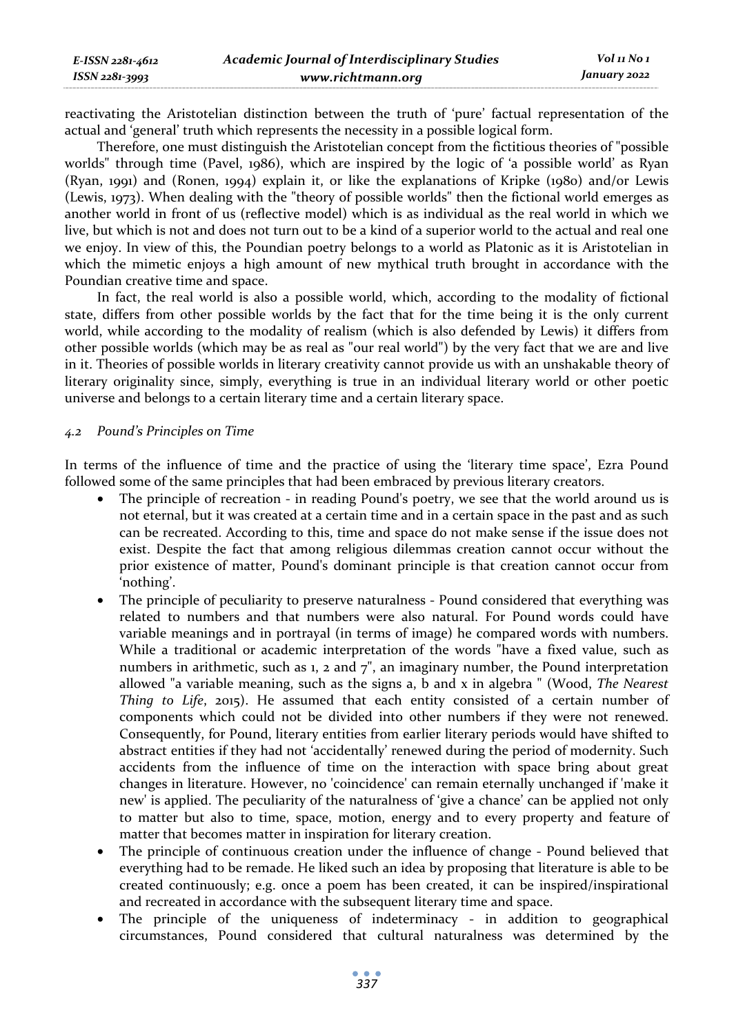reactivating the Aristotelian distinction between the truth of 'pure' factual representation of the actual and 'general' truth which represents the necessity in a possible logical form.

Therefore, one must distinguish the Aristotelian concept from the fictitious theories of "possible worlds" through time (Pavel, 1986), which are inspired by the logic of 'a possible world' as Ryan (Ryan, 1991) and (Ronen, 1994) explain it, or like the explanations of Kripke (1980) and/or Lewis (Lewis, 1973). When dealing with the "theory of possible worlds" then the fictional world emerges as another world in front of us (reflective model) which is as individual as the real world in which we live, but which is not and does not turn out to be a kind of a superior world to the actual and real one we enjoy. In view of this, the Poundian poetry belongs to a world as Platonic as it is Aristotelian in which the mimetic enjoys a high amount of new mythical truth brought in accordance with the Poundian creative time and space.

In fact, the real world is also a possible world, which, according to the modality of fictional state, differs from other possible worlds by the fact that for the time being it is the only current world, while according to the modality of realism (which is also defended by Lewis) it differs from other possible worlds (which may be as real as "our real world") by the very fact that we are and live in it. Theories of possible worlds in literary creativity cannot provide us with an unshakable theory of literary originality since, simply, everything is true in an individual literary world or other poetic universe and belongs to a certain literary time and a certain literary space.

## *4.2 Pound's Principles on Time*

In terms of the influence of time and the practice of using the 'literary time space', Ezra Pound followed some of the same principles that had been embraced by previous literary creators.

- The principle of recreation in reading Pound's poetry, we see that the world around us is not eternal, but it was created at a certain time and in a certain space in the past and as such can be recreated. According to this, time and space do not make sense if the issue does not exist. Despite the fact that among religious dilemmas creation cannot occur without the prior existence of matter, Pound's dominant principle is that creation cannot occur from 'nothing'.
- The principle of peculiarity to preserve naturalness Pound considered that everything was related to numbers and that numbers were also natural. For Pound words could have variable meanings and in portrayal (in terms of image) he compared words with numbers. While a traditional or academic interpretation of the words "have a fixed value, such as numbers in arithmetic, such as 1, 2 and  $7$ ", an imaginary number, the Pound interpretation allowed "a variable meaning, such as the signs a, b and x in algebra " (Wood, *The Nearest Thing to Life*, 2015). He assumed that each entity consisted of a certain number of components which could not be divided into other numbers if they were not renewed. Consequently, for Pound, literary entities from earlier literary periods would have shifted to abstract entities if they had not 'accidentally' renewed during the period of modernity. Such accidents from the influence of time on the interaction with space bring about great changes in literature. However, no 'coincidence' can remain eternally unchanged if 'make it new' is applied. The peculiarity of the naturalness of 'give a chance' can be applied not only to matter but also to time, space, motion, energy and to every property and feature of matter that becomes matter in inspiration for literary creation.
- The principle of continuous creation under the influence of change Pound believed that everything had to be remade. He liked such an idea by proposing that literature is able to be created continuously; e.g. once a poem has been created, it can be inspired/inspirational and recreated in accordance with the subsequent literary time and space.
- The principle of the uniqueness of indeterminacy in addition to geographical circumstances, Pound considered that cultural naturalness was determined by the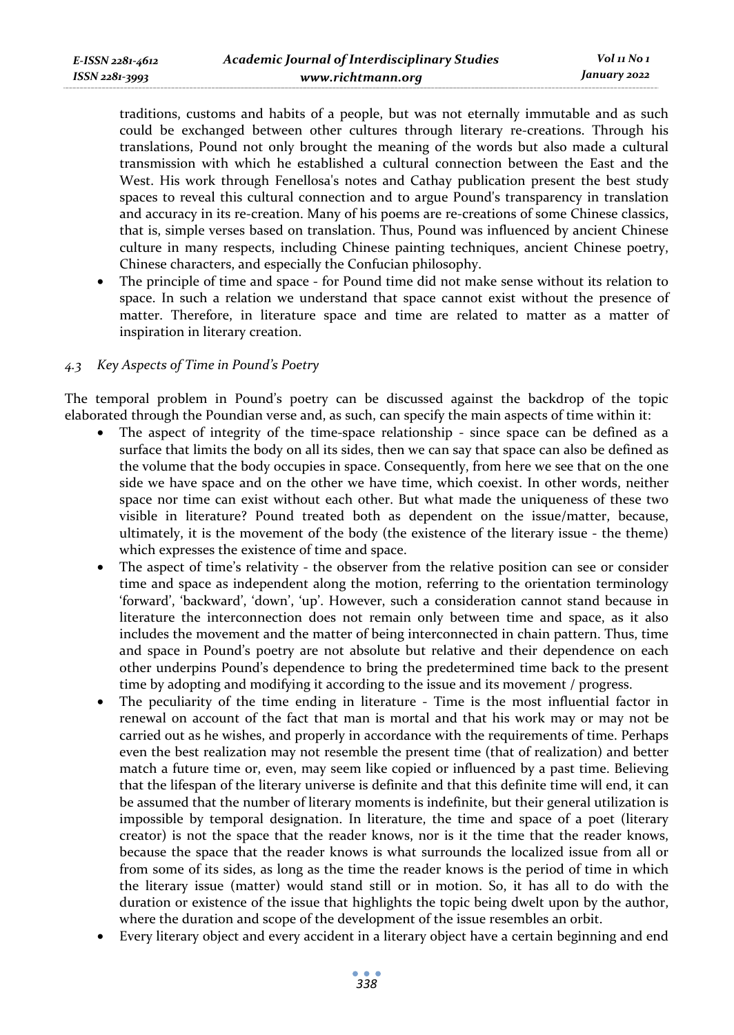traditions, customs and habits of a people, but was not eternally immutable and as such could be exchanged between other cultures through literary re-creations. Through his translations, Pound not only brought the meaning of the words but also made a cultural transmission with which he established a cultural connection between the East and the West. His work through Fenellosa's notes and Cathay publication present the best study spaces to reveal this cultural connection and to argue Pound's transparency in translation and accuracy in its re-creation. Many of his poems are re-creations of some Chinese classics, that is, simple verses based on translation. Thus, Pound was influenced by ancient Chinese culture in many respects, including Chinese painting techniques, ancient Chinese poetry, Chinese characters, and especially the Confucian philosophy.

• The principle of time and space - for Pound time did not make sense without its relation to space. In such a relation we understand that space cannot exist without the presence of matter. Therefore, in literature space and time are related to matter as a matter of inspiration in literary creation.

# *4.3 Key Aspects of Time in Pound's Poetry*

The temporal problem in Pound's poetry can be discussed against the backdrop of the topic elaborated through the Poundian verse and, as such, can specify the main aspects of time within it:

- The aspect of integrity of the time-space relationship since space can be defined as a surface that limits the body on all its sides, then we can say that space can also be defined as the volume that the body occupies in space. Consequently, from here we see that on the one side we have space and on the other we have time, which coexist. In other words, neither space nor time can exist without each other. But what made the uniqueness of these two visible in literature? Pound treated both as dependent on the issue/matter, because, ultimately, it is the movement of the body (the existence of the literary issue - the theme) which expresses the existence of time and space.
- The aspect of time's relativity the observer from the relative position can see or consider time and space as independent along the motion, referring to the orientation terminology 'forward', 'backward', 'down', 'up'. However, such a consideration cannot stand because in literature the interconnection does not remain only between time and space, as it also includes the movement and the matter of being interconnected in chain pattern. Thus, time and space in Pound's poetry are not absolute but relative and their dependence on each other underpins Pound's dependence to bring the predetermined time back to the present time by adopting and modifying it according to the issue and its movement / progress.
- The peculiarity of the time ending in literature Time is the most influential factor in renewal on account of the fact that man is mortal and that his work may or may not be carried out as he wishes, and properly in accordance with the requirements of time. Perhaps even the best realization may not resemble the present time (that of realization) and better match a future time or, even, may seem like copied or influenced by a past time. Believing that the lifespan of the literary universe is definite and that this definite time will end, it can be assumed that the number of literary moments is indefinite, but their general utilization is impossible by temporal designation. In literature, the time and space of a poet (literary creator) is not the space that the reader knows, nor is it the time that the reader knows, because the space that the reader knows is what surrounds the localized issue from all or from some of its sides, as long as the time the reader knows is the period of time in which the literary issue (matter) would stand still or in motion. So, it has all to do with the duration or existence of the issue that highlights the topic being dwelt upon by the author, where the duration and scope of the development of the issue resembles an orbit.
- Every literary object and every accident in a literary object have a certain beginning and end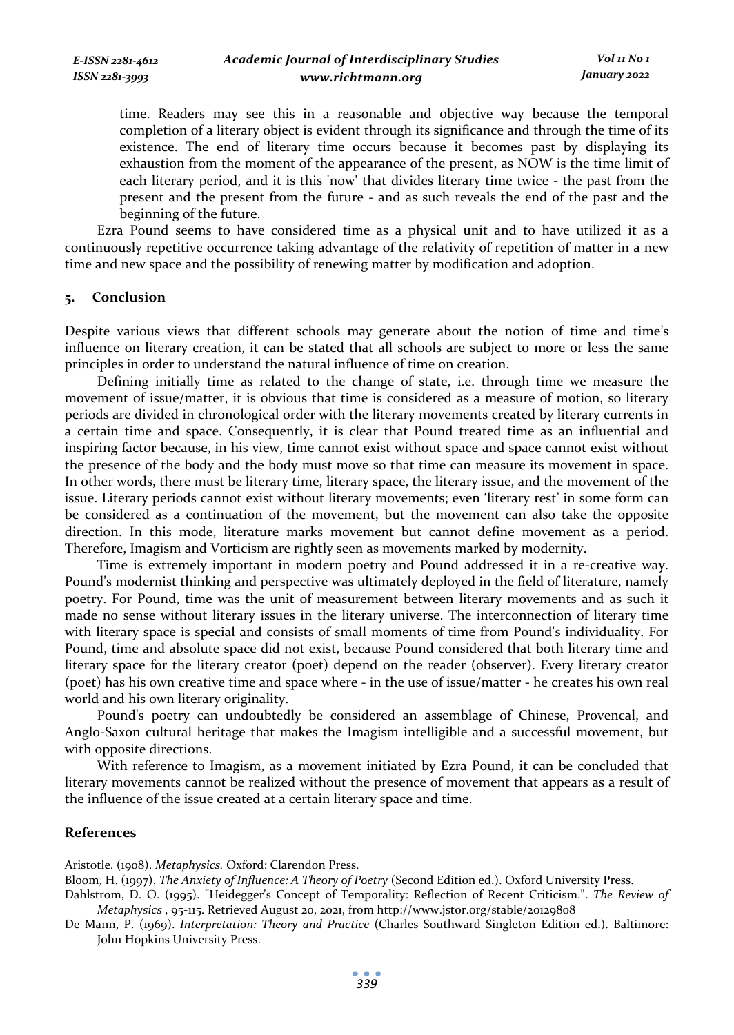time. Readers may see this in a reasonable and objective way because the temporal completion of a literary object is evident through its significance and through the time of its existence. The end of literary time occurs because it becomes past by displaying its exhaustion from the moment of the appearance of the present, as NOW is the time limit of each literary period, and it is this 'now' that divides literary time twice - the past from the present and the present from the future - and as such reveals the end of the past and the beginning of the future.

Ezra Pound seems to have considered time as a physical unit and to have utilized it as a continuously repetitive occurrence taking advantage of the relativity of repetition of matter in a new time and new space and the possibility of renewing matter by modification and adoption.

#### **5. Conclusion**

Despite various views that different schools may generate about the notion of time and time's influence on literary creation, it can be stated that all schools are subject to more or less the same principles in order to understand the natural influence of time on creation.

Defining initially time as related to the change of state, i.e. through time we measure the movement of issue/matter, it is obvious that time is considered as a measure of motion, so literary periods are divided in chronological order with the literary movements created by literary currents in a certain time and space. Consequently, it is clear that Pound treated time as an influential and inspiring factor because, in his view, time cannot exist without space and space cannot exist without the presence of the body and the body must move so that time can measure its movement in space. In other words, there must be literary time, literary space, the literary issue, and the movement of the issue. Literary periods cannot exist without literary movements; even 'literary rest' in some form can be considered as a continuation of the movement, but the movement can also take the opposite direction. In this mode, literature marks movement but cannot define movement as a period. Therefore, Imagism and Vorticism are rightly seen as movements marked by modernity.

Time is extremely important in modern poetry and Pound addressed it in a re-creative way. Pound's modernist thinking and perspective was ultimately deployed in the field of literature, namely poetry. For Pound, time was the unit of measurement between literary movements and as such it made no sense without literary issues in the literary universe. The interconnection of literary time with literary space is special and consists of small moments of time from Pound's individuality. For Pound, time and absolute space did not exist, because Pound considered that both literary time and literary space for the literary creator (poet) depend on the reader (observer). Every literary creator (poet) has his own creative time and space where - in the use of issue/matter - he creates his own real world and his own literary originality.

Pound's poetry can undoubtedly be considered an assemblage of Chinese, Provencal, and Anglo-Saxon cultural heritage that makes the Imagism intelligible and a successful movement, but with opposite directions.

With reference to Imagism, as a movement initiated by Ezra Pound, it can be concluded that literary movements cannot be realized without the presence of movement that appears as a result of the influence of the issue created at a certain literary space and time.

# **References**

Aristotle. (1908). *Metaphysics.* Oxford: Clarendon Press.

Bloom, H. (1997). *The Anxiety of Influence: A Theory of Poetry* (Second Edition ed.). Oxford University Press.

Dahlstrom, D. O. (1995). "Heidegger's Concept of Temporality: Reflection of Recent Criticism.". *The Review of Metaphysics* , 95-115. Retrieved August 20, 2021, from http://www.jstor.org/stable/20129808

De Mann, P. (1969). *Interpretation: Theory and Practice* (Charles Southward Singleton Edition ed.). Baltimore: John Hopkins University Press.